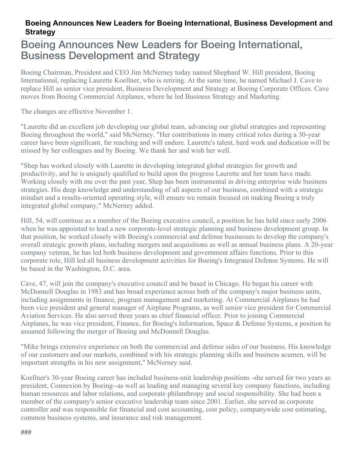## **Boeing Announces New Leaders for Boeing International, Business Development and Strategy**

## Boeing Announces New Leaders for Boeing International, Business Development and Strategy

Boeing Chairman, President and CEO Jim McNerney today named Shephard W. Hill president, Boeing International, replacing Laurette Koellner, who is retiring. At the same time, he named Michael J. Cave to replace Hill as senior vice president, Business Development and Strategy at Boeing Corporate Offices. Cave moves from Boeing Commercial Airplanes, where he led Business Strategy and Marketing.

The changes are effective November 1.

"Laurette did an excellent job developing our global team, advancing our global strategies and representing Boeing throughout the world," said McNerney. "Her contributions in many critical roles during a 30-year career have been significant, far reaching and will endure. Laurette's talent, hard work and dedication will be missed by her colleagues and by Boeing. We thank her and wish her well.

"Shep has worked closely with Laurette in developing integrated global strategies for growth and productivity, and he is uniquely qualified to build upon the progress Laurette and her team have made. Working closely with me over the past year, Shep has been instrumental in driving enterprise wide business strategies. His deep knowledge and understanding of all aspects of our business, combined with a strategic mindset and a results-oriented operating style, will ensure we remain focused on making Boeing a truly integrated global company," McNerney added.

Hill, 54, will continue as a member of the Boeing executive council, a position he has held since early 2006 when he was appointed to lead a new corporate-level strategic planning and business development group. In that position, he worked closely with Boeing's commercial and defense businesses to develop the company's overall strategic growth plans, including mergers and acquisitions as well as annual business plans. A 20-year company veteran, he has led both business development and government affairs functions. Prior to this corporate role, Hill led all business development activities for Boeing's Integrated Defense Systems. He will be based in the Washington, D.C. area.

Cave, 47, will join the company's executive council and be based in Chicago. He began his career with McDonnell Douglas in 1983 and has broad experience across both of the company's major business units, including assignments in finance, program management and marketing. At Commercial Airplanes he had been vice president and general manager of Airplane Programs, as well senior vice president for Commercial Aviation Services. He also served three years as chief financial officer. Prior to joining Commercial Airplanes, he was vice president, Finance, for Boeing's Information, Space & Defense Systems, a position he assumed following the merger of Boeing and McDonnell Douglas.

"Mike brings extensive experience on both the commercial and defense sides of our business. His knowledge of our customers and our markets, combined with his strategic planning skills and business acumen, will be important strengths in his new assignment," McNerney said.

Koellner's 30-year Boeing career has included business-unit leadership positions -she served for two years as president, Connexion by Boeing--as well as leading and managing several key company functions, including human resources and labor relations, and corporate philanthropy and social responsibility. She had been a member of the company's senior executive leadership team since 2001. Earlier, she served as corporate controller and was responsible for financial and cost accounting, cost policy, companywide cost estimating, common business systems, and insurance and risk management.